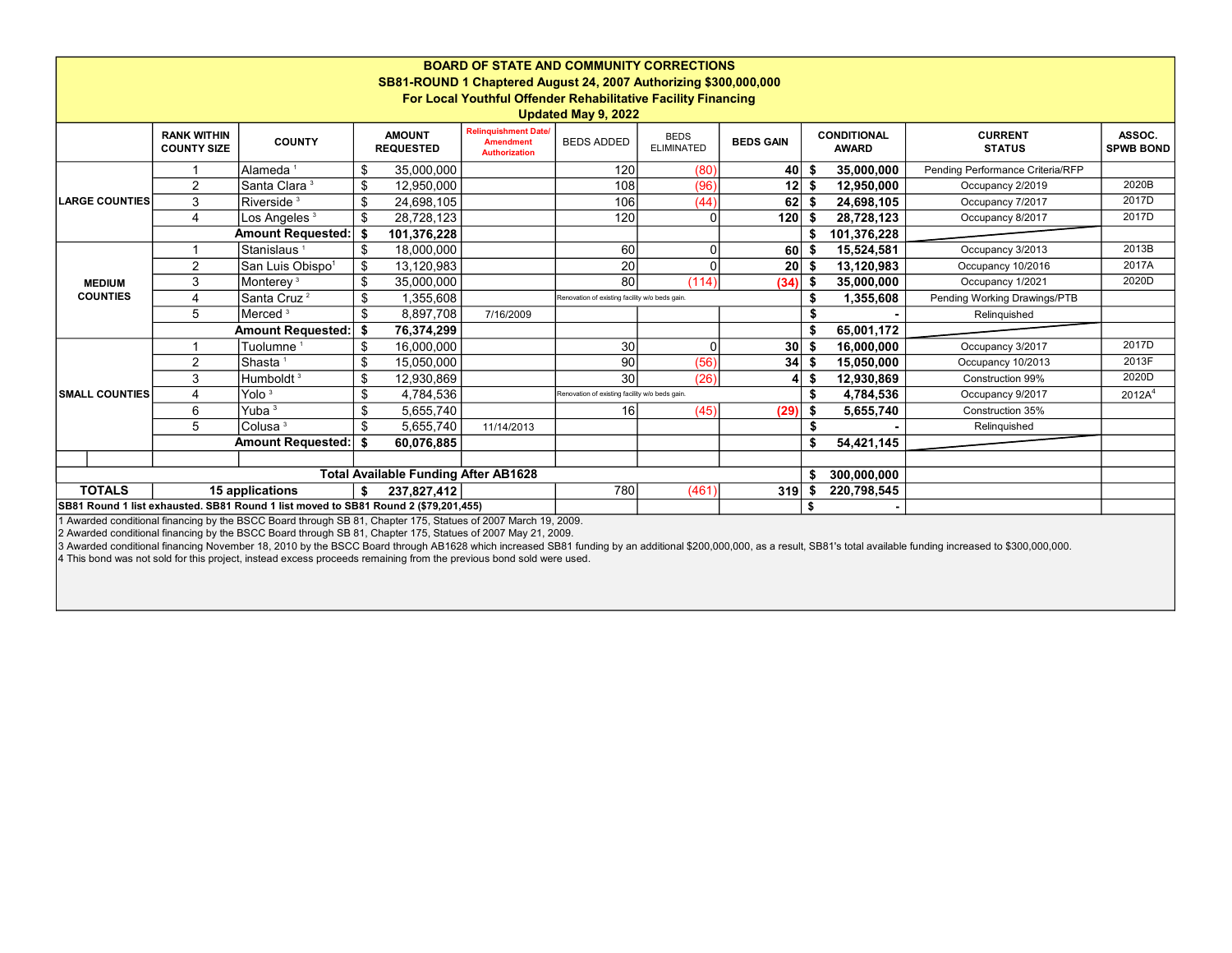| <b>BOARD OF STATE AND COMMUNITY CORRECTIONS</b><br>SB81-ROUND 1 Chaptered August 24, 2007 Authorizing \$300,000,000<br>For Local Youthful Offender Rehabilitative Facility Financing |                                          |                              |                                   |                 |                                                                         |                                                |                                  |                  |           |                                    |                                  |                            |
|--------------------------------------------------------------------------------------------------------------------------------------------------------------------------------------|------------------------------------------|------------------------------|-----------------------------------|-----------------|-------------------------------------------------------------------------|------------------------------------------------|----------------------------------|------------------|-----------|------------------------------------|----------------------------------|----------------------------|
| Updated May 9, 2022                                                                                                                                                                  |                                          |                              |                                   |                 |                                                                         |                                                |                                  |                  |           |                                    |                                  |                            |
|                                                                                                                                                                                      | <b>RANK WITHIN</b><br><b>COUNTY SIZE</b> | <b>COUNTY</b>                | <b>AMOUNT</b><br><b>REQUESTED</b> |                 | <b>Relinquishment Date/</b><br><b>Amendment</b><br><b>Authorization</b> | <b>BEDS ADDED</b>                              | <b>BEDS</b><br><b>ELIMINATED</b> | <b>BEDS GAIN</b> |           | <b>CONDITIONAL</b><br><b>AWARD</b> | <b>CURRENT</b><br><b>STATUS</b>  | ASSOC.<br><b>SPWB BOND</b> |
| <b>LARGE COUNTIES</b>                                                                                                                                                                |                                          | Alameda <sup>1</sup>         | \$                                | 35,000,000      |                                                                         | 120                                            | (80)                             | 40 \$            |           | 35,000,000                         | Pending Performance Criteria/RFP |                            |
|                                                                                                                                                                                      | $\overline{2}$                           | Santa Clara <sup>3</sup>     | \$                                | 12,950,000      |                                                                         | 108                                            | (96)                             | 12S              |           | 12,950,000                         | Occupancy 2/2019                 | 2020B                      |
|                                                                                                                                                                                      | 3                                        | Riverside <sup>3</sup>       | \$                                | 24,698,105      |                                                                         | 106                                            | (44)                             | 62S              |           | 24,698,105                         | Occupancy 7/2017                 | 2017D                      |
|                                                                                                                                                                                      | 4                                        | Los Angeles $^{\rm 3}$       | \$                                | 28,728,123      |                                                                         | 120                                            |                                  | $120$ \$         |           | 28,728,123                         | Occupancy 8/2017                 | 2017D                      |
|                                                                                                                                                                                      |                                          | Amount Requested:            | - \$                              | 101,376,228     |                                                                         |                                                |                                  |                  | \$        | 101,376,228                        |                                  |                            |
| <b>MEDIUM</b><br><b>COUNTIES</b>                                                                                                                                                     |                                          | Stanislaus <sup>1</sup>      | -\$                               | 18,000,000      |                                                                         | 60                                             |                                  | 60               | S         | 15,524,581                         | Occupancy 3/2013                 | 2013B                      |
|                                                                                                                                                                                      | 2                                        | San Luis Obispo <sup>1</sup> | \$                                | 13,120,983      |                                                                         | 20                                             |                                  | 20               | - \$      | 13,120,983                         | Occupancy 10/2016                | 2017A                      |
|                                                                                                                                                                                      | 3                                        | Monterey <sup>3</sup>        | \$                                | 35,000,000      |                                                                         | 80                                             | (114)                            | (34)             | \$        | 35,000,000                         | Occupancy 1/2021                 | 2020D                      |
|                                                                                                                                                                                      | 4                                        | Santa Cruz <sup>2</sup>      | \$<br>1,355,608                   |                 |                                                                         | Renovation of existing facility w/o beds gain. |                                  |                  |           | 1,355,608                          | Pending Working Drawings/PTB     |                            |
|                                                                                                                                                                                      | 5                                        | Merced <sup>3</sup>          | -\$                               | 8,897,708       | 7/16/2009                                                               |                                                |                                  |                  |           |                                    | Relinquished                     |                            |
|                                                                                                                                                                                      | Amount Requested:                        |                              |                                   | 76,374,299      |                                                                         |                                                |                                  |                  | S         | 65,001,172                         |                                  |                            |
| <b>SMALL COUNTIES</b>                                                                                                                                                                |                                          | Tuolumne <sup>1</sup>        | \$                                | 16,000,000      |                                                                         | 30                                             |                                  | 30 <sub>1</sub>  | \$        | 16.000.000                         | Occupancy 3/2017                 | 2017D                      |
|                                                                                                                                                                                      | 2                                        | Shasta <sup>1</sup>          | \$.                               | 15.050.000      |                                                                         | 90                                             | (56)                             | 34               | £.        | 15.050.000                         | Occupancy 10/2013                | 2013F                      |
|                                                                                                                                                                                      | 3                                        | Humboldt <sup>3</sup>        | \$                                | 12,930,869      |                                                                         | 30                                             | (26)                             |                  | \$        | 12,930,869                         | Construction 99%                 | 2020D                      |
|                                                                                                                                                                                      | 4                                        | Yolo $3$                     |                                   | 4,784,536<br>\$ |                                                                         | Renovation of existing facility w/o beds gain. |                                  |                  | 4,784,536 | Occupancy 9/2017                   | 2012A <sup>4</sup>               |                            |
|                                                                                                                                                                                      | 6                                        | Yuba $3$                     | \$                                | 5,655,740       |                                                                         | 16                                             | (45)                             | (29)             |           | 5,655,740                          | Construction 35%                 |                            |
|                                                                                                                                                                                      | 5                                        | Colusa <sup>3</sup>          | \$                                | 5,655,740       | 11/14/2013                                                              |                                                |                                  |                  |           |                                    | Relinquished                     |                            |
|                                                                                                                                                                                      |                                          | <b>Amount Requested:</b>     | \$                                | 60,076,885      |                                                                         |                                                |                                  |                  | \$        | 54,421,145                         |                                  |                            |
|                                                                                                                                                                                      |                                          |                              |                                   |                 |                                                                         |                                                |                                  |                  |           |                                    |                                  |                            |
| <b>Total Available Funding After AB1628</b>                                                                                                                                          |                                          |                              |                                   |                 |                                                                         |                                                |                                  |                  |           | 300,000,000                        |                                  |                            |
| <b>TOTALS</b><br>15 applications                                                                                                                                                     |                                          |                              |                                   | 237.827.412     |                                                                         | 780                                            | (461)                            | 319              |           | 220,798,545                        |                                  |                            |
| SB81 Round 1 list exhausted. SB81 Round 1 list moved to SB81 Round 2 (\$79,201,455)                                                                                                  |                                          |                              |                                   |                 |                                                                         |                                                |                                  |                  | \$        |                                    |                                  |                            |

1 Awarded conditional financing by the BSCC Board through SB 81, Chapter 175, Statues of 2007 March 19, 2009.

2 Awarded conditional financing by the BSCC Board through SB 81, Chapter 175, Statues of 2007 May 21, 2009.

3 Awarded conditional financing November 18, 2010 by the BSCC Board through AB1628 which increased SB81 funding by an additional \$200,000,000, as a result, SB81's total available funding increased to \$300,000,000.

4 This bond was not sold for this project, instead excess proceeds remaining from the previous bond sold were used.